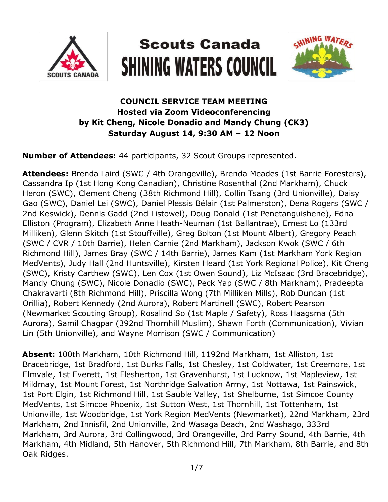

# **Scouts Canada SHINING WATERS COUNCIL**



## **COUNCIL SERVICE TEAM MEETING Hosted via Zoom Videoconferencing by Kit Cheng, Nicole Donadio and Mandy Chung (CK3) Saturday August 14, 9:30 AM – 12 Noon**

**Number of Attendees:** 44 participants, 32 Scout Groups represented.

**Attendees:** Brenda Laird (SWC / 4th Orangeville), Brenda Meades (1st Barrie Foresters), Cassandra Ip (1st Hong Kong Canadian), Christine Rosenthal (2nd Markham), Chuck Heron (SWC), Clement Cheng (38th Richmond Hill), Collin Tsang (3rd Unionville), Daisy Gao (SWC), Daniel Lei (SWC), Daniel Plessis Bélair (1st Palmerston), Dena Rogers (SWC / 2nd Keswick), Dennis Gadd (2nd Listowel), Doug Donald (1st Penetanguishene), Edna Elliston (Program), Elizabeth Anne Heath-Neuman (1st Ballantrae), Ernest Lo (133rd Milliken), Glenn Skitch (1st Stouffville), Greg Bolton (1st Mount Albert), Gregory Peach (SWC / CVR / 10th Barrie), Helen Carnie (2nd Markham), Jackson Kwok (SWC / 6th Richmond Hill), James Bray (SWC / 14th Barrie), James Kam (1st Markham York Region MedVents), Judy Hall (2nd Huntsville), Kirsten Heard (1st York Regional Police), Kit Cheng (SWC), Kristy Carthew (SWC), Len Cox (1st Owen Sound), Liz McIsaac (3rd Bracebridge), Mandy Chung (SWC), Nicole Donadio (SWC), Peck Yap (SWC / 8th Markham), Pradeepta Chakravarti (8th Richmond Hill), Priscilla Wong (7th Milliken Mills), Rob Duncan (1st Orillia), Robert Kennedy (2nd Aurora), Robert Martinell (SWC), Robert Pearson (Newmarket Scouting Group), Rosalind So (1st Maple / Safety), Ross Haagsma (5th Aurora), Samil Chagpar (392nd Thornhill Muslim), Shawn Forth (Communication), Vivian Lin (5th Unionville), and Wayne Morrison (SWC / Communication)

**Absent:** 100th Markham, 10th Richmond Hill, 1192nd Markham, 1st Alliston, 1st Bracebridge, 1st Bradford, 1st Burks Falls, 1st Chesley, 1st Coldwater, 1st Creemore, 1st Elmvale, 1st Everett, 1st Flesherton, 1st Gravenhurst, 1st Lucknow, 1st Mapleview, 1st Mildmay, 1st Mount Forest, 1st Northridge Salvation Army, 1st Nottawa, 1st Painswick, 1st Port Elgin, 1st Richmond Hill, 1st Sauble Valley, 1st Shelburne, 1st Simcoe County MedVents, 1st Simcoe Phoenix, 1st Sutton West, 1st Thornhill, 1st Tottenham, 1st Unionville, 1st Woodbridge, 1st York Region MedVents (Newmarket), 22nd Markham, 23rd Markham, 2nd Innisfil, 2nd Unionville, 2nd Wasaga Beach, 2nd Washago, 333rd Markham, 3rd Aurora, 3rd Collingwood, 3rd Orangeville, 3rd Parry Sound, 4th Barrie, 4th Markham, 4th Midland, 5th Hanover, 5th Richmond Hill, 7th Markham, 8th Barrie, and 8th Oak Ridges.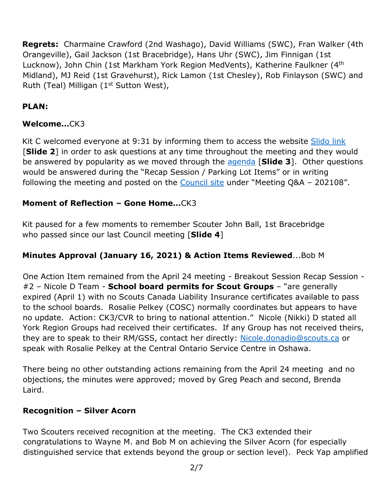**Regrets:** Charmaine Crawford (2nd Washago), David Williams (SWC), Fran Walker (4th Orangeville), Gail Jackson (1st Bracebridge), Hans Uhr (SWC), Jim Finnigan (1st Lucknow), John Chin (1st Markham York Region MedVents), Katherine Faulkner (4<sup>th</sup> Midland), MJ Reid (1st Gravehurst), Rick Lamon (1st Chesley), Rob Finlayson (SWC) and Ruth (Teal) Milligan ( $1<sup>st</sup>$  Sutton West),

## **PLAN:**

#### **Welcome…**CK3

Kit C welcomed everyone at 9:31 by informing them to access the website Slido link [**Slide 2**] in order to ask questions at any time throughout the meeting and they would be answered by popularity as we moved through the [agenda](https://www.scouts.ca/assets/uploads/councils/shiningwaters/council_meetings/2021-08-14/SWC%20Council%20Service%20Team%20Meeting%20Agenda%20-%20202108.pdf) [**Slide 3**]. Other questions would be answered during the "Recap Session / Parking Lot Items" or in writing following the meeting and posted on the [Council site](https://www.scouts.ca/councils/central/shining-waters/council-meetings.html) under "Meeting Q&A - 202108".

#### **Moment of Reflection – Gone Home…**CK3

Kit paused for a few moments to remember Scouter John Ball, 1st Bracebridge who passed since our last Council meeting [**Slide 4**]

#### **Minutes Approval (January 16, 2021) & Action Items Reviewed**...Bob M

One Action Item remained from the April 24 meeting - Breakout Session Recap Session - #2 – Nicole D Team - **School board permits for Scout Groups** – "are generally expired (April 1) with no Scouts Canada Liability Insurance certificates available to pass to the school boards. Rosalie Pelkey (COSC) normally coordinates but appears to have no update. Action: CK3/CVR to bring to national attention." Nicole (Nikki) D stated all York Region Groups had received their certificates. If any Group has not received theirs, they are to speak to their RM/GSS, contact her directly: [Nicole.donadio@scouts.ca](mailto:Nicole.donadio@scouts.ca) or speak with Rosalie Pelkey at the Central Ontario Service Centre in Oshawa.

There being no other outstanding actions remaining from the April 24 meeting and no objections, the minutes were approved; moved by Greg Peach and second, Brenda Laird.

#### **Recognition – Silver Acorn**

Two Scouters received recognition at the meeting. The CK3 extended their congratulations to Wayne M. and Bob M on achieving the Silver Acorn (for especially distinguished service that extends beyond the group or section level). Peck Yap amplified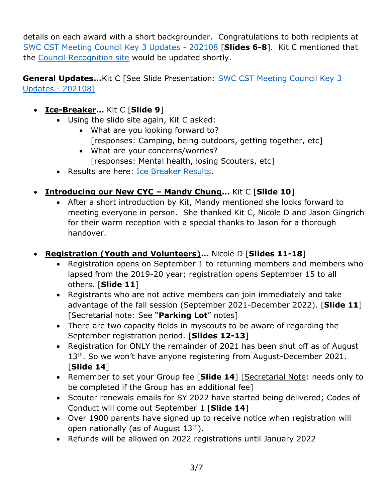details on each award with a short backgrounder. Congratulations to both recipients at [SWC CST Meeting Council Key 3 Updates -](https://www.scouts.ca/assets/uploads/councils/shiningwaters/council_meetings/2021-08-14/SWC%20CST%20Meeting%20-%20August%2014,%202021.pdf) 202108 [**Slides 6-8**]. Kit C mentioned that the [Council Recognition site](https://www.scouts.ca/councils/central/shining-waters/recognition/outstanding-service-awards.html) would be updated shortly.

**General Updates...**Kit C [See Slide Presentation: **SWC CST Meeting Council Key 3** [Updates -](https://www.scouts.ca/assets/uploads/councils/shiningwaters/council_meetings/2021-08-14/SWC%20CST%20Meeting%20-%20August%2014,%202021.pdf) 202108]

- **Ice-Breaker…** Kit C [**Slide 9**]
	- Using the slido site again, Kit C asked:
		- What are you looking forward to? [responses: Camping, being outdoors, getting together, etc]
		- What are your concerns/worries? [responses: Mental health, losing Scouters, etc]
	- Results are here: [Ice Breaker Results.](https://www.scouts.ca/assets/uploads/councils/shiningwaters/council_meetings/2021-08-14/Ice%20Breaker%20Response%20-%20Aug%2014,%202021.pdf)
- **Introducing our New CYC – Mandy Chung…** Kit C [**Slide 10**]
	- After a short introduction by Kit, Mandy mentioned she looks forward to meeting everyone in person. She thanked Kit C, Nicole D and Jason Gingrich for their warm reception with a special thanks to Jason for a thorough handover.
- **Registration (Youth and Volunteers)…** Nicole D [**Slides 11-18**]
	- Registration opens on September 1 to returning members and members who lapsed from the 2019-20 year; registration opens September 15 to all others. [**Slide 11**]
	- Registrants who are not active members can join immediately and take advantage of the fall session (September 2021-December 2022). [**Slide 11**] [Secretarial note: See "**Parking Lot**" notes]
	- There are two capacity fields in myscouts to be aware of regarding the September registration period. [**Slides 12-13**]
	- Registration for ONLY the remainder of 2021 has been shut off as of August 13<sup>th</sup>. So we won't have anyone registering from August-December 2021. [**Slide 14**]
	- Remember to set your Group fee [Slide 14] [Secretarial Note: needs only to be completed if the Group has an additional fee]
	- Scouter renewals emails for SY 2022 have started being delivered; Codes of Conduct will come out September 1 [**Slide 14**]
	- Over 1900 parents have signed up to receive notice when registration will open nationally (as of August  $13<sup>th</sup>$ ).
	- Refunds will be allowed on 2022 registrations until January 2022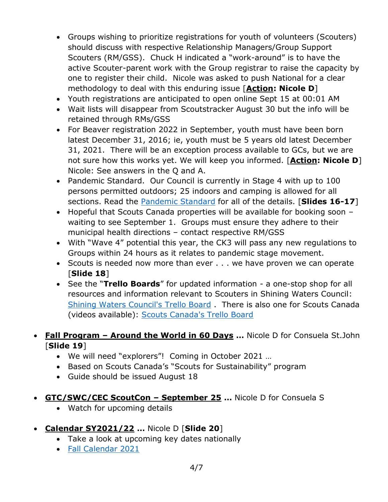- Groups wishing to prioritize registrations for youth of volunteers (Scouters) should discuss with respective Relationship Managers/Group Support Scouters (RM/GSS). Chuck H indicated a "work-around" is to have the active Scouter-parent work with the Group registrar to raise the capacity by one to register their child. Nicole was asked to push National for a clear methodology to deal with this enduring issue [**Action: Nicole D**]
- Youth registrations are anticipated to open online Sept 15 at 00:01 AM
- Wait lists will disappear from Scoutstracker August 30 but the info will be retained through RMs/GSS
- For Beaver registration 2022 in September, youth must have been born latest December 31, 2016; ie, youth must be 5 years old latest December 31, 2021. There will be an exception process available to GCs, but we are not sure how this works yet. We will keep you informed. [**Action: Nicole D**] Nicole: See answers in the Q and A.
- Pandemic Standard. Our Council is currently in Stage 4 with up to 100 persons permitted outdoors; 25 indoors and camping is allowed for all sections. Read the [Pandemic Standard](https://www.scouts.ca/news-and-events/covid-19/covid-19-latest-updates.html) for all of the details. [**Slides 16-17**]
- Hopeful that Scouts Canada properties will be available for booking soon waiting to see September 1. Groups must ensure they adhere to their municipal health directions – contact respective RM/GSS
- With "Wave 4" potential this year, the CK3 will pass any new regulations to Groups within 24 hours as it relates to pandemic stage movement.
- Scouts is needed now more than ever . . . we have proven we can operate [**Slide 18**]
- See the "**Trello Boards**" for updated information a one-stop shop for all resources and information relevant to Scouters in Shining Waters Council: [Shining Waters Council's Trello Board](https://trello.com/b/hNeRrbZ2/swc-public-board) . There is also one for Scouts Canada (videos available): [Scouts Canada's Trello Board](https://trello.com/scoutscanada2)
- **Fall Program – Around the World in 60 Days …** Nicole D for Consuela St.John [**Slide 19**]
	- We will need "explorers"! Coming in October 2021 …
	- Based on Scouts Canada's "Scouts for Sustainability" program
	- Guide should be issued August 18
- **GTC/SWC/CEC ScoutCon – September 25 …** Nicole D for Consuela S
	- Watch for upcoming details
- **Calendar SY2021/22 …** Nicole D [**Slide 20**]
	- Take a look at upcoming key dates nationally
	- [Fall Calendar 2021](https://www.scouts.ca/assets/uploads/councils/shiningwaters/documents/fall_2021_calendar.pdf)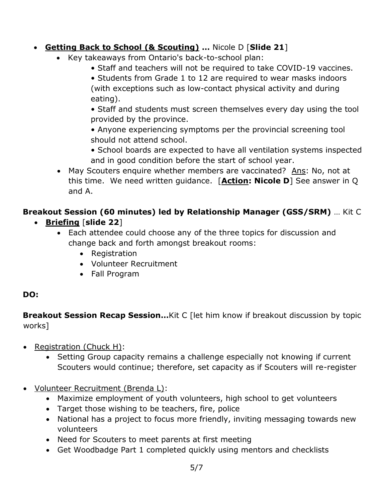## **Getting Back to School (& Scouting) …** Nicole D [**Slide 21**]

- Key takeaways from Ontario's back-to-school plan:
	- Staff and teachers will not be required to take COVID-19 vaccines.
	- Students from Grade 1 to 12 are required to wear masks indoors (with exceptions such as low-contact physical activity and during eating).

• Staff and students must screen themselves every day using the tool provided by the province.

• Anyone experiencing symptoms per the provincial screening tool should not attend school.

- School boards are expected to have all ventilation systems inspected and in good condition before the start of school year.
- May Scouters enquire whether members are vaccinated? Ans: No, not at this time. We need written guidance. [**Action: Nicole D**] See answer in Q and A.

# **Breakout Session (60 minutes) led by Relationship Manager (GSS/SRM)** … Kit C

- **Briefing** [**slide 22**]
	- Each attendee could choose any of the three topics for discussion and change back and forth amongst breakout rooms:
		- Registration
		- Volunteer Recruitment
		- Fall Program

### **DO:**

**Breakout Session Recap Session...**Kit C [let him know if breakout discussion by topic works]

- Registration (Chuck H):
	- Setting Group capacity remains a challenge especially not knowing if current Scouters would continue; therefore, set capacity as if Scouters will re-register
- Volunteer Recruitment (Brenda L):
	- Maximize employment of youth volunteers, high school to get volunteers
	- Target those wishing to be teachers, fire, police
	- National has a project to focus more friendly, inviting messaging towards new volunteers
	- Need for Scouters to meet parents at first meeting
	- Get Woodbadge Part 1 completed quickly using mentors and checklists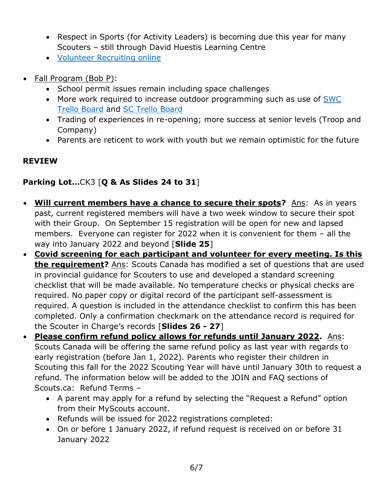- Respect in Sports (for Activity Leaders) is becoming due this year for many Scouters – still through David Huestis Learning Centre
- [Volunteer Recruiting online](https://www.scouts.ca/resources/support-resources/volunteer-recruitment.html)
- Fall Program (Bob P):
	- School permit issues remain including space challenges
	- More work required to increase outdoor programming such as use of SWC [Trello Board](https://trello.com/b/hNeRrbZ2/swc-public-board) and [SC Trello Board](https://trello.com/scoutscanada2)
	- Trading of experiences in re-opening; more success at senior levels (Troop and Company)
	- Parents are reticent to work with youth but we remain optimistic for the future

#### **REVIEW**

### **Parking Lot…**CK3 [**Q & As Slides 24 to 31**]

- **Will current members have a chance to secure their spots?** Ans: As in years past, current registered members will have a two week window to secure their spot with their Group. On September 15 registration will be open for new and lapsed members. Everyone can register for 2022 when it is convenient for them – all the way into January 2022 and beyond [**Slide 25**]
- **Covid screening for each participant and volunteer for every meeting. Is this the requirement?** Ans: Scouts Canada has modified a set of questions that are used in provincial guidance for Scouters to use and developed a standard screening checklist that will be made available. No temperature checks or physical checks are required. No paper copy or digital record of the participant self-assessment is required. A question is included in the attendance checklist to confirm this has been completed. Only a confirmation checkmark on the attendance record is required for the Scouter in Charge's records [**Slides 26 - 27**]
- **Please confirm refund policy allows for refunds until January 2022.** Ans: Scouts Canada will be offering the same refund policy as last year with regards to early registration (before Jan 1, 2022). Parents who register their children in Scouting this fall for the 2022 Scouting Year will have until January 30th to request a refund. The information below will be added to the JOIN and FAQ sections of Scouts.ca: Refund Terms –
	- A parent may apply for a refund by selecting the "Request a Refund" option from their MyScouts account.
	- Refunds will be issued for 2022 registrations completed:
	- On or before 1 January 2022, if refund request is received on or before 31 January 2022